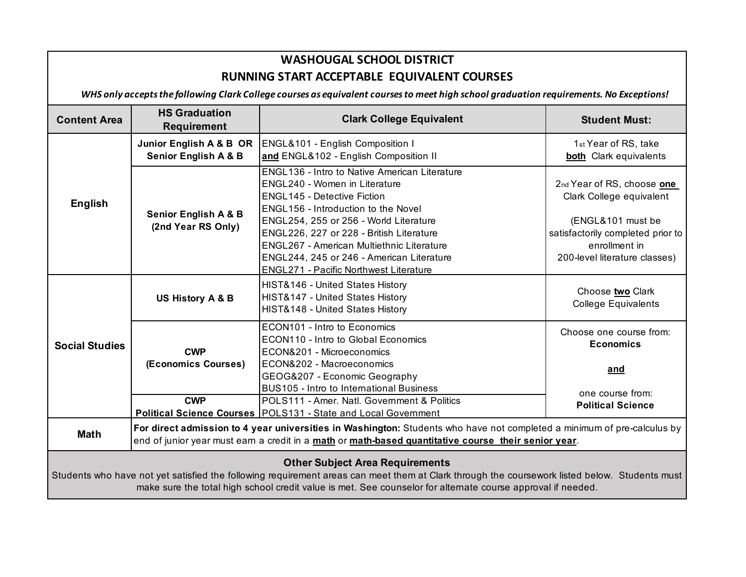## **WASHOUGAL SCHOOL DISTRICT RUNNING START ACCEPTABLE EQUIVALENT COURSES**

*WHS only accepts the following Clark College courses as equivalent courses to meet high school graduation requirements. No Exceptions!* 

| <b>Content Area</b>                                                                                                                                                                                                                                                                                    | <b>HS Graduation</b><br><b>Requirement</b>                                                                                                                                                                                      | <b>Clark College Equivalent</b>                                                                                                                                                                                               | <b>Student Must:</b>                                                                                     |  |
|--------------------------------------------------------------------------------------------------------------------------------------------------------------------------------------------------------------------------------------------------------------------------------------------------------|---------------------------------------------------------------------------------------------------------------------------------------------------------------------------------------------------------------------------------|-------------------------------------------------------------------------------------------------------------------------------------------------------------------------------------------------------------------------------|----------------------------------------------------------------------------------------------------------|--|
| <b>English</b>                                                                                                                                                                                                                                                                                         | Junior English A & B OR<br><b>Senior English A &amp; B</b>                                                                                                                                                                      | ENGL&101 - English Composition I<br>and ENGL&102 - English Composition II                                                                                                                                                     | 1st Year of RS, take<br><b>both</b> Clark equivalents                                                    |  |
|                                                                                                                                                                                                                                                                                                        | <b>Senior English A &amp; B</b><br>(2nd Year RS Only)                                                                                                                                                                           | ENGL136 - Intro to Native American Literature<br>ENGL240 - Women in Literature<br><b>ENGL145 - Detective Fiction</b><br>ENGL156 - Introduction to the Novel                                                                   | 2nd Year of RS, choose one<br>Clark College equivalent                                                   |  |
|                                                                                                                                                                                                                                                                                                        |                                                                                                                                                                                                                                 | ENGL254, 255 or 256 - World Literature<br>ENGL226, 227 or 228 - British Literature<br>ENGL267 - American Multiethnic Literature<br>ENGL244, 245 or 246 - American Literature<br><b>ENGL271 - Pacific Northwest Literature</b> | (ENGL&101 must be<br>satisfactorily completed prior to<br>enrollment in<br>200-level literature classes) |  |
| <b>Social Studies</b>                                                                                                                                                                                                                                                                                  | US History A & B                                                                                                                                                                                                                | HIST&146 - United States History<br>HIST&147 - United States History<br>HIST&148 - United States History                                                                                                                      | Choose two Clark<br><b>College Equivalents</b>                                                           |  |
|                                                                                                                                                                                                                                                                                                        | <b>CWP</b>                                                                                                                                                                                                                      | ECON101 - Intro to Economics<br>ECON110 - Intro to Global Economics<br>ECON&201 - Microeconomics                                                                                                                              | Choose one course from:<br><b>Economics</b>                                                              |  |
|                                                                                                                                                                                                                                                                                                        | (Economics Courses)                                                                                                                                                                                                             | ECON&202 - Macroeconomics<br>GEOG&207 - Economic Geography<br><b>BUS105 - Intro to International Business</b>                                                                                                                 | and<br>one course from:                                                                                  |  |
|                                                                                                                                                                                                                                                                                                        | <b>CWP</b>                                                                                                                                                                                                                      | POLS111 - Amer. Natl. Government & Politics<br>Political Science Courses   POLS131 - State and Local Government                                                                                                               | <b>Political Science</b>                                                                                 |  |
| <b>Math</b>                                                                                                                                                                                                                                                                                            | For direct admission to 4 year universities in Washington: Students who have not completed a minimum of pre-calculus by<br>end of junior year must earn a credit in a math or math-based quantitative course their senior year. |                                                                                                                                                                                                                               |                                                                                                          |  |
| <b>Other Subject Area Requirements</b><br>Students who have not yet satisfied the following requirement areas can meet them at Clark through the coursework listed below. Students must<br>make sure the total high school credit value is met. See counselor for alternate course approval if needed. |                                                                                                                                                                                                                                 |                                                                                                                                                                                                                               |                                                                                                          |  |